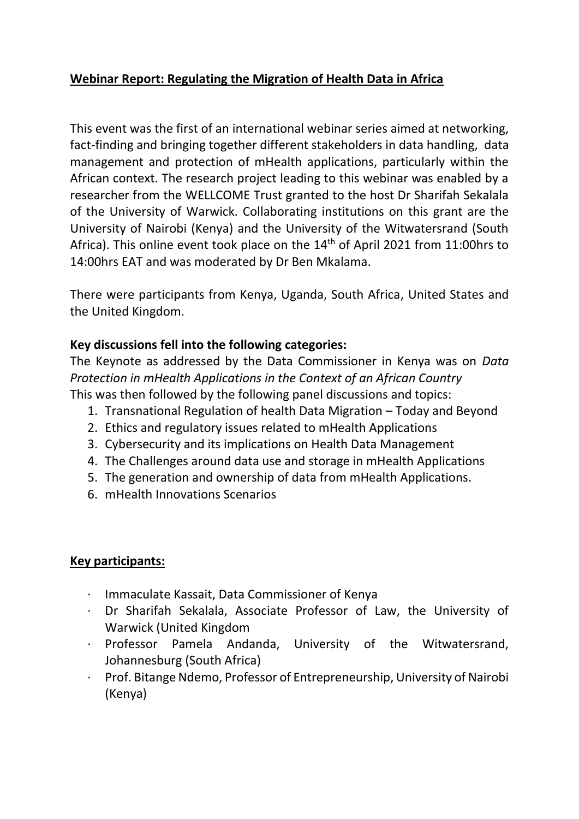# **Webinar Report: Regulating the Migration of Health Data in Africa**

This event was the first of an international webinar series aimed at networking, fact-finding and bringing together different stakeholders in data handling, data management and protection of mHealth applications, particularly within the African context. The research project leading to this webinar was enabled by a researcher from the WELLCOME Trust granted to the host Dr Sharifah Sekalala of the University of Warwick. Collaborating institutions on this grant are the University of Nairobi (Kenya) and the University of the Witwatersrand (South Africa). This online event took place on the  $14<sup>th</sup>$  of April 2021 from 11:00hrs to 14:00hrs EAT and was moderated by Dr Ben Mkalama.

There were participants from Kenya, Uganda, South Africa, United States and the United Kingdom.

# **Key discussions fell into the following categories:**

The Keynote as addressed by the Data Commissioner in Kenya was on *Data Protection in mHealth Applications in the Context of an African Country* This was then followed by the following panel discussions and topics:

- 1. Transnational Regulation of health Data Migration Today and Beyond
- 2. Ethics and regulatory issues related to mHealth Applications
- 3. Cybersecurity and its implications on Health Data Management
- 4. The Challenges around data use and storage in mHealth Applications
- 5. The generation and ownership of data from mHealth Applications.
- 6. mHealth Innovations Scenarios

### **Key participants:**

- · Immaculate Kassait, Data Commissioner of Kenya
- · Dr Sharifah Sekalala, Associate Professor of Law, the University of Warwick (United Kingdom
- · Professor Pamela Andanda, University of the Witwatersrand, Johannesburg (South Africa)
- · Prof. Bitange Ndemo, Professor of Entrepreneurship, University of Nairobi (Kenya)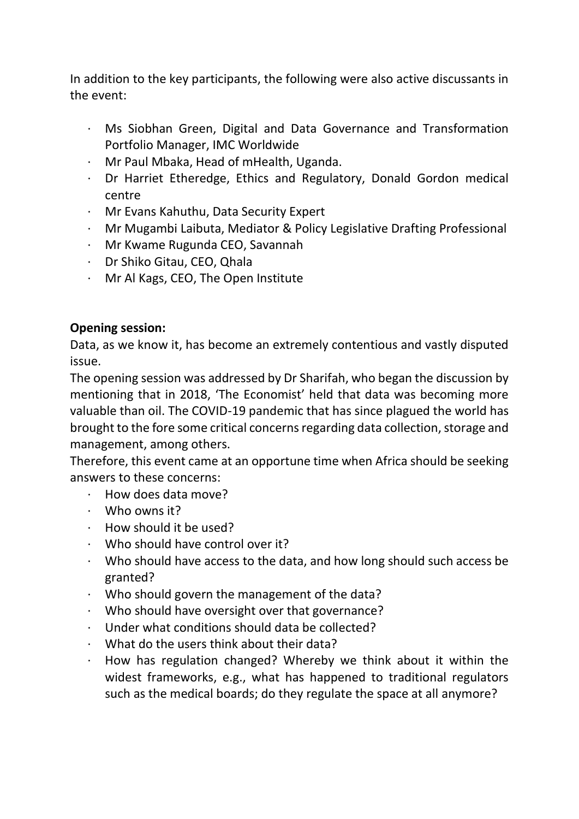In addition to the key participants, the following were also active discussants in the event:

- · Ms Siobhan Green, Digital and Data Governance and Transformation Portfolio Manager, IMC Worldwide
- · Mr Paul Mbaka, Head of mHealth, Uganda.
- · Dr Harriet Etheredge, Ethics and Regulatory, Donald Gordon medical centre
- · Mr Evans Kahuthu, Data Security Expert
- · Mr Mugambi Laibuta, Mediator & Policy Legislative Drafting Professional
- · Mr Kwame Rugunda CEO, Savannah
- · Dr Shiko Gitau, CEO, Qhala
- · Mr Al Kags, CEO, The Open Institute

# **Opening session:**

Data, as we know it, has become an extremely contentious and vastly disputed issue.

The opening session was addressed by Dr Sharifah, who began the discussion by mentioning that in 2018, 'The Economist' held that data was becoming more valuable than oil. The COVID-19 pandemic that has since plagued the world has brought to the fore some critical concerns regarding data collection, storage and management, among others.

Therefore, this event came at an opportune time when Africa should be seeking answers to these concerns:

- · How does data move?
- · Who owns it?
- · How should it be used?
- · Who should have control over it?
- · Who should have access to the data, and how long should such access be granted?
- Who should govern the management of the data?
- · Who should have oversight over that governance?
- Under what conditions should data be collected?
- What do the users think about their data?
- · How has regulation changed? Whereby we think about it within the widest frameworks, e.g., what has happened to traditional regulators such as the medical boards; do they regulate the space at all anymore?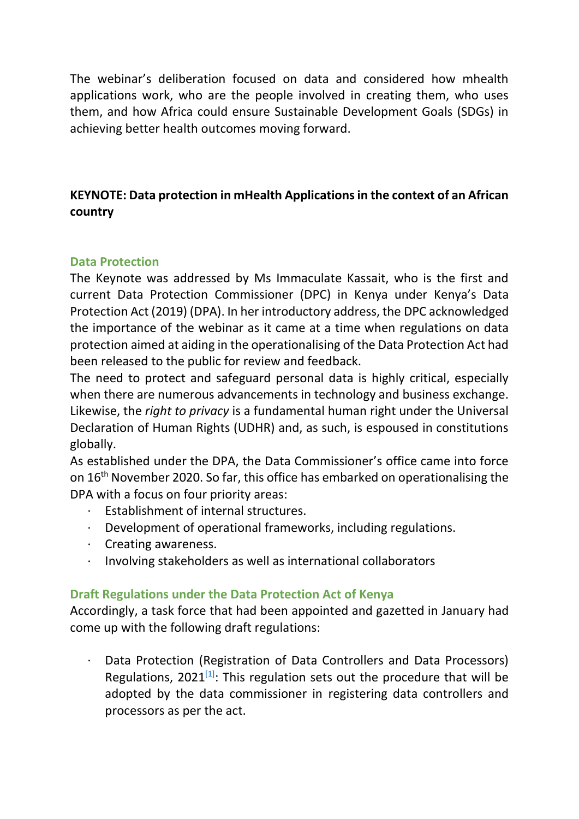The webinar's deliberation focused on data and considered how mhealth applications work, who are the people involved in creating them, who uses them, and how Africa could ensure Sustainable Development Goals (SDGs) in achieving better health outcomes moving forward.

# **KEYNOTE: Data protection in mHealth Applications in the context of an African country**

### **Data Protection**

The Keynote was addressed by Ms Immaculate Kassait, who is the first and current Data Protection Commissioner (DPC) in Kenya under Kenya's Data Protection Act (2019) (DPA). In her introductory address, the DPC acknowledged the importance of the webinar as it came at a time when regulations on data protection aimed at aiding in the operationalising of the Data Protection Act had been released to the public for review and feedback.

The need to protect and safeguard personal data is highly critical, especially when there are numerous advancements in technology and business exchange. Likewise, the *right to privacy* is a fundamental human right under the Universal Declaration of Human Rights (UDHR) and, as such, is espoused in constitutions globally.

As established under the DPA, the Data Commissioner's office came into force on 16th November 2020. So far, this office has embarked on operationalising the DPA with a focus on four priority areas:

- · Establishment of internal structures.
- · Development of operational frameworks, including regulations.
- · Creating awareness.
- · Involving stakeholders as well as international collaborators

### **Draft Regulations under the Data Protection Act of Kenya**

Accordingly, a task force that had been appointed and gazetted in January had come up with the following draft regulations:

· Data Protection (Registration of Data Controllers and Data Processors) Regulations,  $2021^{[1]}$ : This regulation sets out the procedure that will be adopted by the data commissioner in registering data controllers and processors as per the act.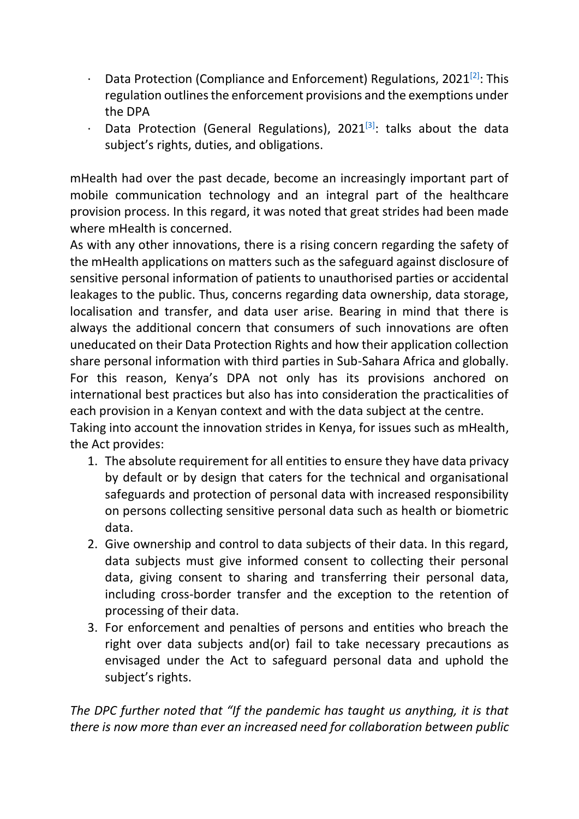- Data Protection (Compliance and Enforcement) Regulations, 2021<sup>[2]</sup>: This regulation outlines the enforcement provisions and the exemptions under the DPA
- Data Protection (General Regulations), 2021 $[3]$ : talks about the data subject's rights, duties, and obligations.

mHealth had over the past decade, become an increasingly important part of mobile communication technology and an integral part of the healthcare provision process. In this regard, it was noted that great strides had been made where mHealth is concerned.

As with any other innovations, there is a rising concern regarding the safety of the mHealth applications on matters such as the safeguard against disclosure of sensitive personal information of patients to unauthorised parties or accidental leakages to the public. Thus, concerns regarding data ownership, data storage, localisation and transfer, and data user arise. Bearing in mind that there is always the additional concern that consumers of such innovations are often uneducated on their Data Protection Rights and how their application collection share personal information with third parties in Sub-Sahara Africa and globally. For this reason, Kenya's DPA not only has its provisions anchored on international best practices but also has into consideration the practicalities of each provision in a Kenyan context and with the data subject at the centre. Taking into account the innovation strides in Kenya, for issues such as mHealth, the Act provides:

- 1. The absolute requirement for all entities to ensure they have data privacy by default or by design that caters for the technical and organisational safeguards and protection of personal data with increased responsibility on persons collecting sensitive personal data such as health or biometric data.
- 2. Give ownership and control to data subjects of their data. In this regard, data subjects must give informed consent to collecting their personal data, giving consent to sharing and transferring their personal data, including cross-border transfer and the exception to the retention of processing of their data.
- 3. For enforcement and penalties of persons and entities who breach the right over data subjects and(or) fail to take necessary precautions as envisaged under the Act to safeguard personal data and uphold the subject's rights.

*The DPC further noted that "If the pandemic has taught us anything, it is that there is now more than ever an increased need for collaboration between public*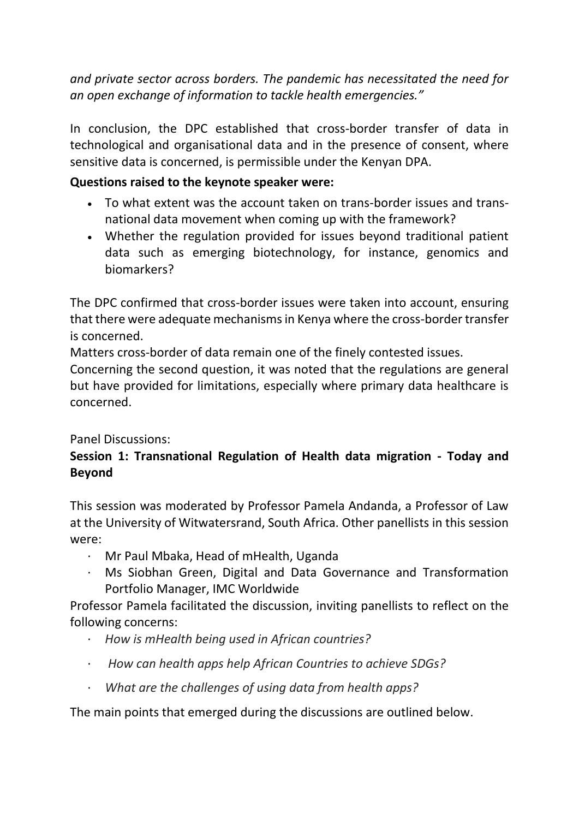*and private sector across borders. The pandemic has necessitated the need for an open exchange of information to tackle health emergencies."*

In conclusion, the DPC established that cross-border transfer of data in technological and organisational data and in the presence of consent, where sensitive data is concerned, is permissible under the Kenyan DPA.

## **Questions raised to the keynote speaker were:**

- To what extent was the account taken on trans-border issues and transnational data movement when coming up with the framework?
- Whether the regulation provided for issues beyond traditional patient data such as emerging biotechnology, for instance, genomics and biomarkers?

The DPC confirmed that cross-border issues were taken into account, ensuring that there were adequate mechanisms in Kenya where the cross-border transfer is concerned.

Matters cross-border of data remain one of the finely contested issues.

Concerning the second question, it was noted that the regulations are general but have provided for limitations, especially where primary data healthcare is concerned.

### Panel Discussions:

# **Session 1: Transnational Regulation of Health data migration - Today and Beyond**

This session was moderated by Professor Pamela Andanda, a Professor of Law at the University of Witwatersrand, South Africa. Other panellists in this session were:

- · Mr Paul Mbaka, Head of mHealth, Uganda
- · Ms Siobhan Green, Digital and Data Governance and Transformation Portfolio Manager, IMC Worldwide

Professor Pamela facilitated the discussion, inviting panellists to reflect on the following concerns:

- · *How is mHealth being used in African countries?*
- · *How can health apps help African Countries to achieve SDGs?*
- · *What are the challenges of using data from health apps?*

The main points that emerged during the discussions are outlined below.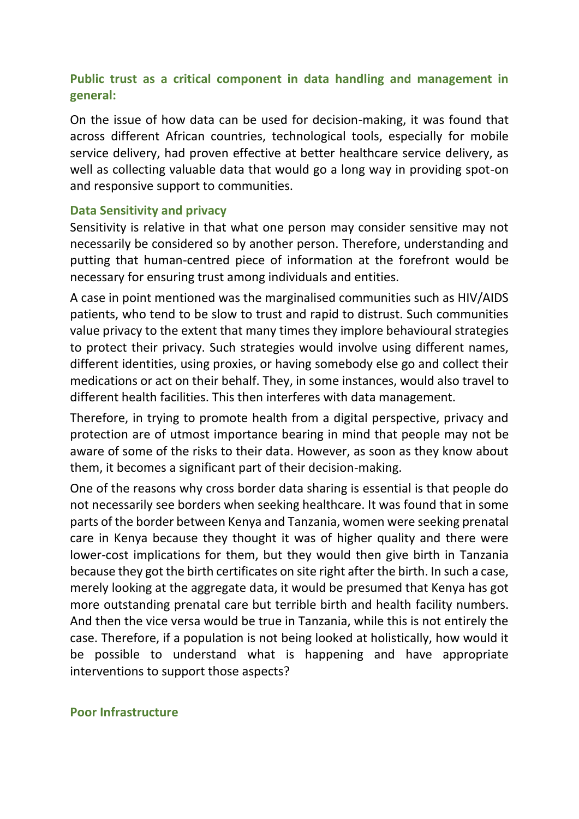# **Public trust as a critical component in data handling and management in general:**

On the issue of how data can be used for decision-making, it was found that across different African countries, technological tools, especially for mobile service delivery, had proven effective at better healthcare service delivery, as well as collecting valuable data that would go a long way in providing spot-on and responsive support to communities.

#### **Data Sensitivity and privacy**

Sensitivity is relative in that what one person may consider sensitive may not necessarily be considered so by another person. Therefore, understanding and putting that human-centred piece of information at the forefront would be necessary for ensuring trust among individuals and entities.

A case in point mentioned was the marginalised communities such as HIV/AIDS patients, who tend to be slow to trust and rapid to distrust. Such communities value privacy to the extent that many times they implore behavioural strategies to protect their privacy. Such strategies would involve using different names, different identities, using proxies, or having somebody else go and collect their medications or act on their behalf. They, in some instances, would also travel to different health facilities. This then interferes with data management.

Therefore, in trying to promote health from a digital perspective, privacy and protection are of utmost importance bearing in mind that people may not be aware of some of the risks to their data. However, as soon as they know about them, it becomes a significant part of their decision-making.

One of the reasons why cross border data sharing is essential is that people do not necessarily see borders when seeking healthcare. It was found that in some parts of the border between Kenya and Tanzania, women were seeking prenatal care in Kenya because they thought it was of higher quality and there were lower-cost implications for them, but they would then give birth in Tanzania because they got the birth certificates on site right after the birth. In such a case, merely looking at the aggregate data, it would be presumed that Kenya has got more outstanding prenatal care but terrible birth and health facility numbers. And then the vice versa would be true in Tanzania, while this is not entirely the case. Therefore, if a population is not being looked at holistically, how would it be possible to understand what is happening and have appropriate interventions to support those aspects?

#### **Poor Infrastructure**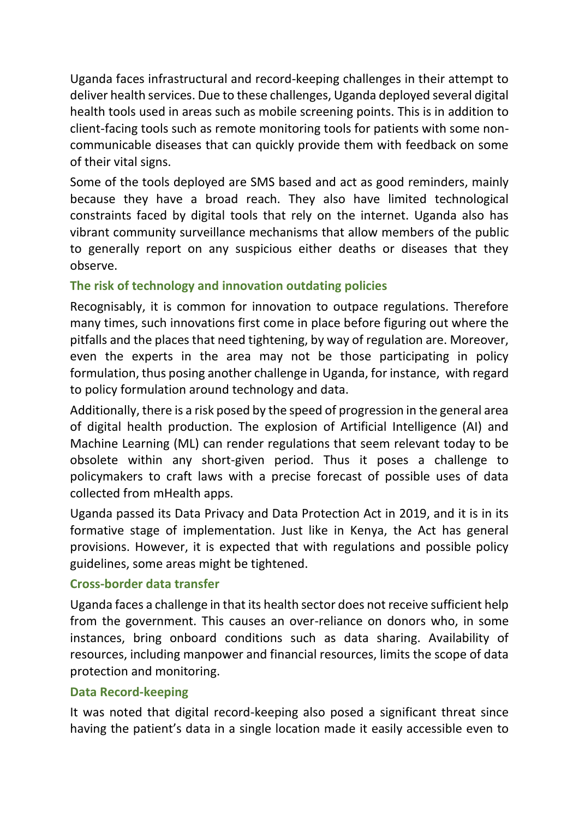Uganda faces infrastructural and record-keeping challenges in their attempt to deliver health services. Due to these challenges, Uganda deployed several digital health tools used in areas such as mobile screening points. This is in addition to client-facing tools such as remote monitoring tools for patients with some noncommunicable diseases that can quickly provide them with feedback on some of their vital signs.

Some of the tools deployed are SMS based and act as good reminders, mainly because they have a broad reach. They also have limited technological constraints faced by digital tools that rely on the internet. Uganda also has vibrant community surveillance mechanisms that allow members of the public to generally report on any suspicious either deaths or diseases that they observe.

### **The risk of technology and innovation outdating policies**

Recognisably, it is common for innovation to outpace regulations. Therefore many times, such innovations first come in place before figuring out where the pitfalls and the places that need tightening, by way of regulation are. Moreover, even the experts in the area may not be those participating in policy formulation, thus posing another challenge in Uganda, for instance, with regard to policy formulation around technology and data.

Additionally, there is a risk posed by the speed of progression in the general area of digital health production. The explosion of Artificial Intelligence (AI) and Machine Learning (ML) can render regulations that seem relevant today to be obsolete within any short-given period. Thus it poses a challenge to policymakers to craft laws with a precise forecast of possible uses of data collected from mHealth apps.

Uganda passed its Data Privacy and Data Protection Act in 2019, and it is in its formative stage of implementation. Just like in Kenya, the Act has general provisions. However, it is expected that with regulations and possible policy guidelines, some areas might be tightened.

### **Cross-border data transfer**

Uganda faces a challenge in that its health sector does not receive sufficient help from the government. This causes an over-reliance on donors who, in some instances, bring onboard conditions such as data sharing. Availability of resources, including manpower and financial resources, limits the scope of data protection and monitoring.

#### **Data Record-keeping**

It was noted that digital record-keeping also posed a significant threat since having the patient's data in a single location made it easily accessible even to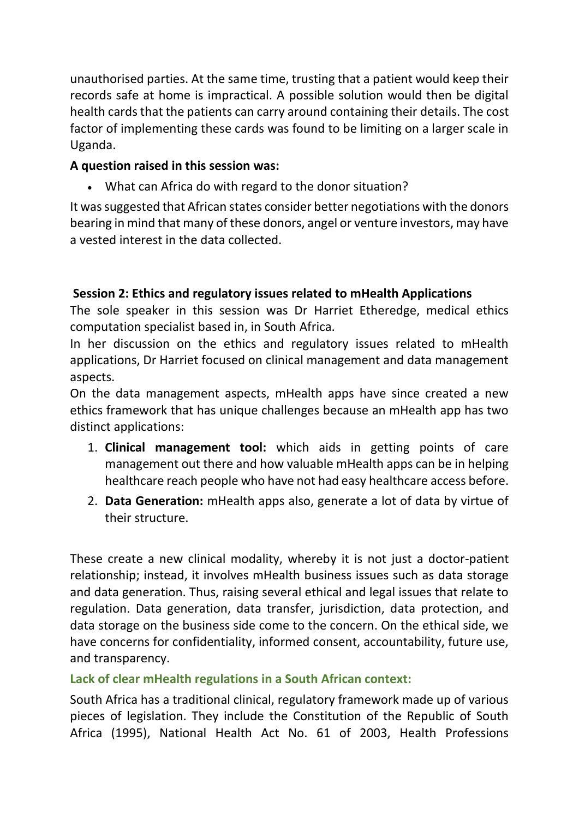unauthorised parties. At the same time, trusting that a patient would keep their records safe at home is impractical. A possible solution would then be digital health cards that the patients can carry around containing their details. The cost factor of implementing these cards was found to be limiting on a larger scale in Uganda.

# **A question raised in this session was:**

• What can Africa do with regard to the donor situation?

It was suggested that African states consider better negotiations with the donors bearing in mind that many of these donors, angel or venture investors, may have a vested interest in the data collected.

# **Session 2: Ethics and regulatory issues related to mHealth Applications**

The sole speaker in this session was Dr Harriet Etheredge, medical ethics computation specialist based in, in South Africa.

In her discussion on the ethics and regulatory issues related to mHealth applications, Dr Harriet focused on clinical management and data management aspects.

On the data management aspects, mHealth apps have since created a new ethics framework that has unique challenges because an mHealth app has two distinct applications:

- 1. **Clinical management tool:** which aids in getting points of care management out there and how valuable mHealth apps can be in helping healthcare reach people who have not had easy healthcare access before.
- 2. **Data Generation:** mHealth apps also, generate a lot of data by virtue of their structure.

These create a new clinical modality, whereby it is not just a doctor-patient relationship; instead, it involves mHealth business issues such as data storage and data generation. Thus, raising several ethical and legal issues that relate to regulation. Data generation, data transfer, jurisdiction, data protection, and data storage on the business side come to the concern. On the ethical side, we have concerns for confidentiality, informed consent, accountability, future use, and transparency.

# **Lack of clear mHealth regulations in a South African context:**

South Africa has a traditional clinical, regulatory framework made up of various pieces of legislation. They include the Constitution of the Republic of South Africa (1995), National Health Act No. 61 of 2003, Health Professions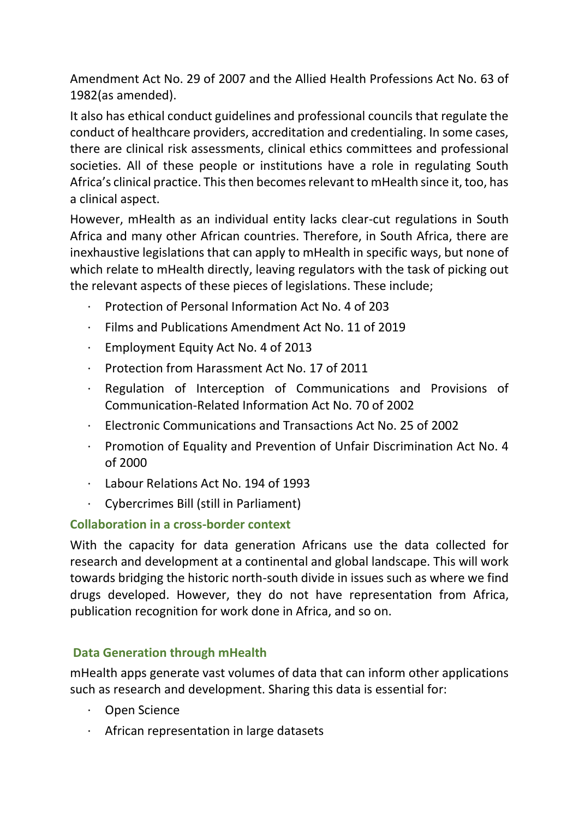Amendment Act No. 29 of 2007 and the Allied Health Professions Act No. 63 of 1982(as amended).

It also has ethical conduct guidelines and professional councils that regulate the conduct of healthcare providers, accreditation and credentialing. In some cases, there are clinical risk assessments, clinical ethics committees and professional societies. All of these people or institutions have a role in regulating South Africa's clinical practice. This then becomes relevant to mHealth since it, too, has a clinical aspect.

However, mHealth as an individual entity lacks clear-cut regulations in South Africa and many other African countries. Therefore, in South Africa, there are inexhaustive legislations that can apply to mHealth in specific ways, but none of which relate to mHealth directly, leaving regulators with the task of picking out the relevant aspects of these pieces of legislations. These include;

- · Protection of Personal Information Act No. 4 of 203
- Films and Publications Amendment Act No. 11 of 2019
- · Employment Equity Act No. 4 of 2013
- · Protection from Harassment Act No. 17 of 2011
- · Regulation of Interception of Communications and Provisions of Communication-Related Information Act No. 70 of 2002
- · Electronic Communications and Transactions Act No. 25 of 2002
- · Promotion of Equality and Prevention of Unfair Discrimination Act No. 4 of 2000
- Labour Relations Act No. 194 of 1993
- · Cybercrimes Bill (still in Parliament)

# **Collaboration in a cross-border context**

With the capacity for data generation Africans use the data collected for research and development at a continental and global landscape. This will work towards bridging the historic north-south divide in issues such as where we find drugs developed. However, they do not have representation from Africa, publication recognition for work done in Africa, and so on.

# **Data Generation through mHealth**

mHealth apps generate vast volumes of data that can inform other applications such as research and development. Sharing this data is essential for:

- · Open Science
- · African representation in large datasets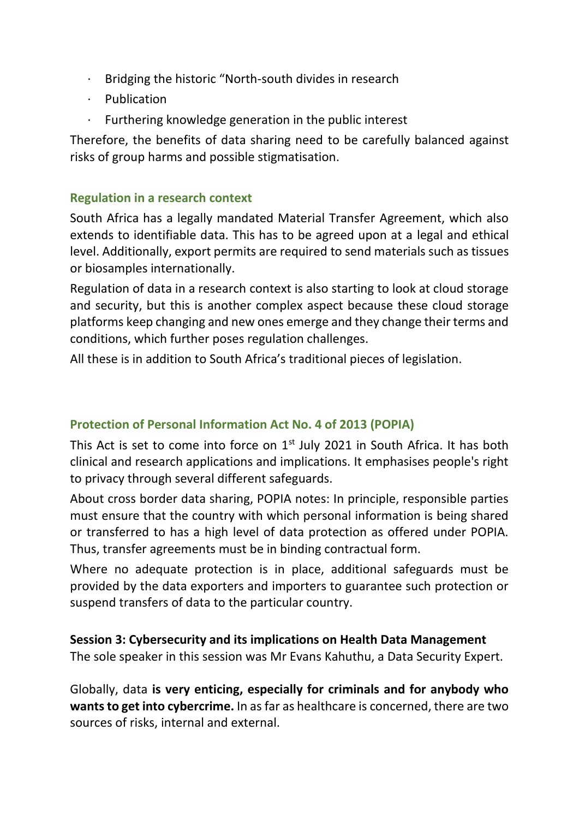- · Bridging the historic "North-south divides in research
- · Publication
- Furthering knowledge generation in the public interest

Therefore, the benefits of data sharing need to be carefully balanced against risks of group harms and possible stigmatisation.

### **Regulation in a research context**

South Africa has a legally mandated Material Transfer Agreement, which also extends to identifiable data. This has to be agreed upon at a legal and ethical level. Additionally, export permits are required to send materials such as tissues or biosamples internationally.

Regulation of data in a research context is also starting to look at cloud storage and security, but this is another complex aspect because these cloud storage platforms keep changing and new ones emerge and they change their terms and conditions, which further poses regulation challenges.

All these is in addition to South Africa's traditional pieces of legislation.

### **Protection of Personal Information Act No. 4 of 2013 (POPIA)**

This Act is set to come into force on  $1<sup>st</sup>$  July 2021 in South Africa. It has both clinical and research applications and implications. It emphasises people's right to privacy through several different safeguards.

About cross border data sharing, POPIA notes: In principle, responsible parties must ensure that the country with which personal information is being shared or transferred to has a high level of data protection as offered under POPIA. Thus, transfer agreements must be in binding contractual form.

Where no adequate protection is in place, additional safeguards must be provided by the data exporters and importers to guarantee such protection or suspend transfers of data to the particular country.

**Session 3: Cybersecurity and its implications on Health Data Management** The sole speaker in this session was Mr Evans Kahuthu, a Data Security Expert.

Globally, data **is very enticing, especially for criminals and for anybody who wants to get into cybercrime.** In as far as healthcare is concerned, there are two sources of risks, internal and external.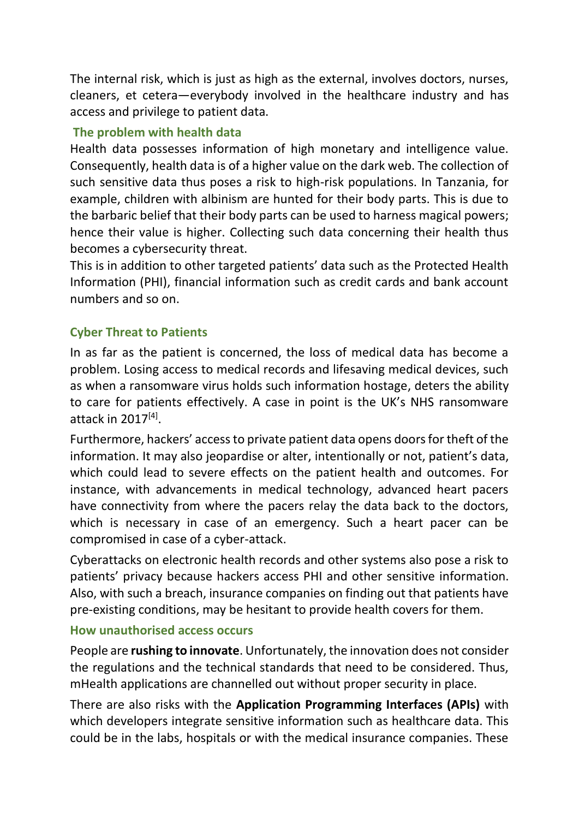The internal risk, which is just as high as the external, involves doctors, nurses, cleaners, et cetera—everybody involved in the healthcare industry and has access and privilege to patient data.

# **The problem with health data**

Health data possesses information of high monetary and intelligence value. Consequently, health data is of a higher value on the dark web. The collection of such sensitive data thus poses a risk to high-risk populations. In Tanzania, for example, children with albinism are hunted for their body parts. This is due to the barbaric belief that their body parts can be used to harness magical powers; hence their value is higher. Collecting such data concerning their health thus becomes a cybersecurity threat.

This is in addition to other targeted patients' data such as the Protected Health Information (PHI), financial information such as credit cards and bank account numbers and so on.

# **Cyber Threat to Patients**

In as far as the patient is concerned, the loss of medical data has become a problem. Losing access to medical records and lifesaving medical devices, such as when a ransomware virus holds such information hostage, deters the ability to care for patients effectively. A case in point is the UK's NHS ransomware attack in 2017 $[4]$ .

Furthermore, hackers' access to private patient data opens doors for theft of the information. It may also jeopardise or alter, intentionally or not, patient's data, which could lead to severe effects on the patient health and outcomes. For instance, with advancements in medical technology, advanced heart pacers have connectivity from where the pacers relay the data back to the doctors, which is necessary in case of an emergency. Such a heart pacer can be compromised in case of a cyber-attack.

Cyberattacks on electronic health records and other systems also pose a risk to patients' privacy because hackers access PHI and other sensitive information. Also, with such a breach, insurance companies on finding out that patients have pre-existing conditions, may be hesitant to provide health covers for them.

### **How unauthorised access occurs**

People are **rushing to innovate**. Unfortunately, the innovation does not consider the regulations and the technical standards that need to be considered. Thus, mHealth applications are channelled out without proper security in place.

There are also risks with the **Application Programming Interfaces (APIs)** with which developers integrate sensitive information such as healthcare data. This could be in the labs, hospitals or with the medical insurance companies. These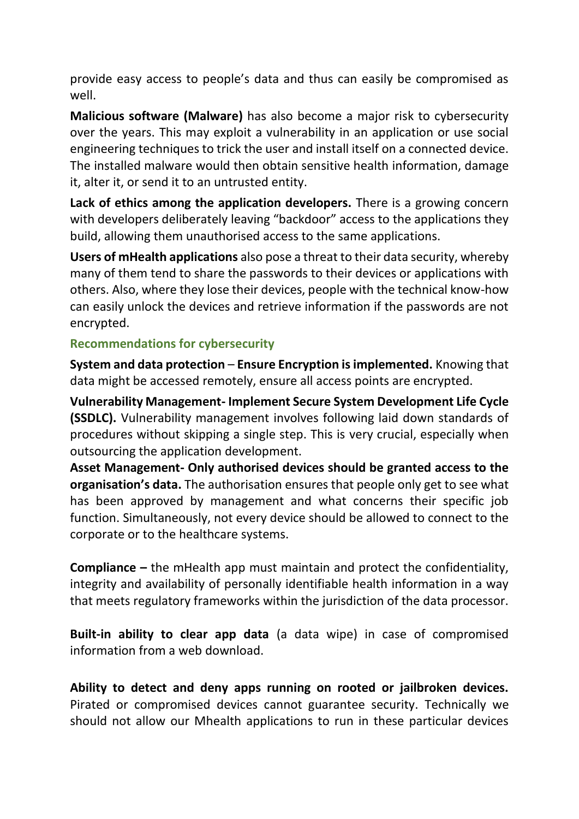provide easy access to people's data and thus can easily be compromised as well.

**Malicious software (Malware)** has also become a major risk to cybersecurity over the years. This may exploit a vulnerability in an application or use social engineering techniques to trick the user and install itself on a connected device. The installed malware would then obtain sensitive health information, damage it, alter it, or send it to an untrusted entity.

**Lack of ethics among the application developers.** There is a growing concern with developers deliberately leaving "backdoor" access to the applications they build, allowing them unauthorised access to the same applications.

**Users of mHealth applications** also pose a threat to their data security, whereby many of them tend to share the passwords to their devices or applications with others. Also, where they lose their devices, people with the technical know-how can easily unlock the devices and retrieve information if the passwords are not encrypted.

#### **Recommendations for cybersecurity**

**System and data protection** – **Ensure Encryption is implemented.** Knowing that data might be accessed remotely, ensure all access points are encrypted.

**Vulnerability Management- Implement Secure System Development Life Cycle (SSDLC).** Vulnerability management involves following laid down standards of procedures without skipping a single step. This is very crucial, especially when outsourcing the application development.

**Asset Management- Only authorised devices should be granted access to the organisation's data.** The authorisation ensures that people only get to see what has been approved by management and what concerns their specific job function. Simultaneously, not every device should be allowed to connect to the corporate or to the healthcare systems.

**Compliance –** the mHealth app must maintain and protect the confidentiality, integrity and availability of personally identifiable health information in a way that meets regulatory frameworks within the jurisdiction of the data processor.

**Built-in ability to clear app data** (a data wipe) in case of compromised information from a web download.

**Ability to detect and deny apps running on rooted or jailbroken devices.**  Pirated or compromised devices cannot guarantee security. Technically we should not allow our Mhealth applications to run in these particular devices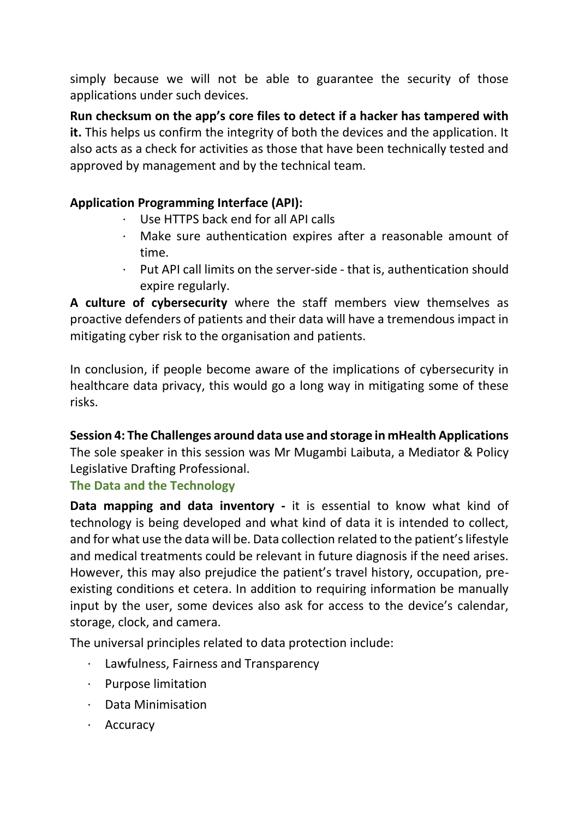simply because we will not be able to guarantee the security of those applications under such devices.

**Run checksum on the app's core files to detect if a hacker has tampered with it.** This helps us confirm the integrity of both the devices and the application. It also acts as a check for activities as those that have been technically tested and approved by management and by the technical team.

## **Application Programming Interface (API):**

- · Use HTTPS back end for all API calls
- · Make sure authentication expires after a reasonable amount of time.
- Put API call limits on the server-side that is, authentication should expire regularly.

**A culture of cybersecurity** where the staff members view themselves as proactive defenders of patients and their data will have a tremendous impact in mitigating cyber risk to the organisation and patients.

In conclusion, if people become aware of the implications of cybersecurity in healthcare data privacy, this would go a long way in mitigating some of these risks.

**Session 4: The Challenges around data use and storage in mHealth Applications** The sole speaker in this session was Mr Mugambi Laibuta, a Mediator & Policy Legislative Drafting Professional.

### **The Data and the Technology**

**Data mapping and data inventory -** it is essential to know what kind of technology is being developed and what kind of data it is intended to collect, and for what use the data will be. Data collection related to the patient's lifestyle and medical treatments could be relevant in future diagnosis if the need arises. However, this may also prejudice the patient's travel history, occupation, preexisting conditions et cetera. In addition to requiring information be manually input by the user, some devices also ask for access to the device's calendar, storage, clock, and camera.

The universal principles related to data protection include:

- Lawfulness, Fairness and Transparency
- · Purpose limitation
- · Data Minimisation
- · Accuracy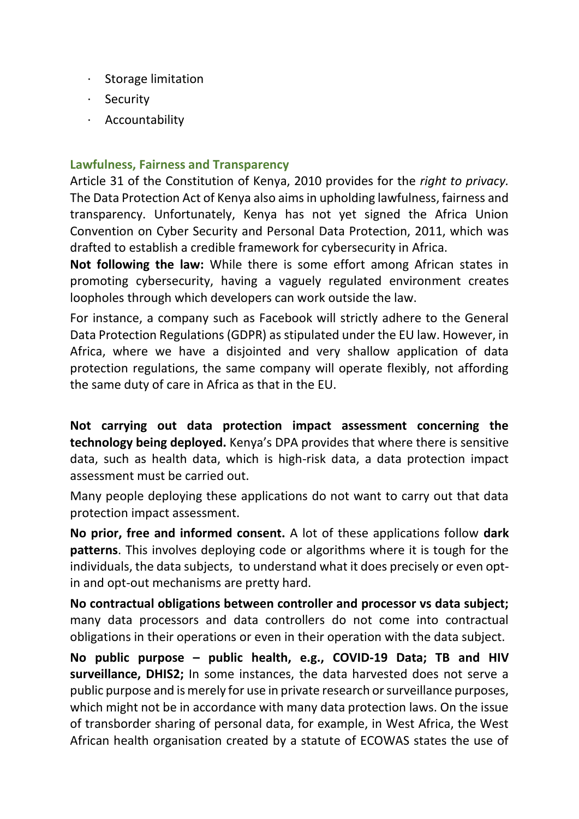- · Storage limitation
- · Security
- · Accountability

#### **Lawfulness, Fairness and Transparency**

Article 31 of the Constitution of Kenya, 2010 provides for the *right to privacy.*  The Data Protection Act of Kenya also aims in upholding lawfulness, fairness and transparency. Unfortunately, Kenya has not yet signed the Africa Union Convention on Cyber Security and Personal Data Protection, 2011, which was drafted to establish a credible framework for cybersecurity in Africa.

**Not following the law:** While there is some effort among African states in promoting cybersecurity, having a vaguely regulated environment creates loopholes through which developers can work outside the law.

For instance, a company such as Facebook will strictly adhere to the General Data Protection Regulations (GDPR) as stipulated under the EU law. However, in Africa, where we have a disjointed and very shallow application of data protection regulations, the same company will operate flexibly, not affording the same duty of care in Africa as that in the EU.

**Not carrying out data protection impact assessment concerning the technology being deployed.** Kenya's DPA provides that where there is sensitive data, such as health data, which is high-risk data, a data protection impact assessment must be carried out.

Many people deploying these applications do not want to carry out that data protection impact assessment.

**No prior, free and informed consent.** A lot of these applications follow **dark patterns**. This involves deploying code or algorithms where it is tough for the individuals, the data subjects, to understand what it does precisely or even optin and opt-out mechanisms are pretty hard.

**No contractual obligations between controller and processor vs data subject;**  many data processors and data controllers do not come into contractual obligations in their operations or even in their operation with the data subject.

**No public purpose – public health, e.g., COVID-19 Data; TB and HIV surveillance, DHIS2;** In some instances, the data harvested does not serve a public purpose and is merely for use in private research or surveillance purposes, which might not be in accordance with many data protection laws. On the issue of transborder sharing of personal data, for example, in West Africa, the West African health organisation created by a statute of ECOWAS states the use of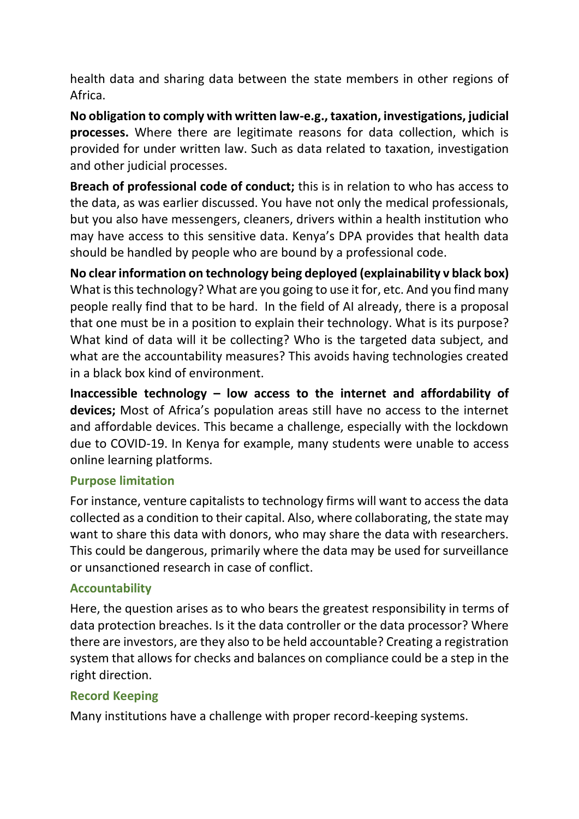health data and sharing data between the state members in other regions of Africa.

**No obligation to comply with written law-e.g., taxation, investigations, judicial processes.** Where there are legitimate reasons for data collection, which is provided for under written law. Such as data related to taxation, investigation and other judicial processes.

**Breach of professional code of conduct;** this is in relation to who has access to the data, as was earlier discussed. You have not only the medical professionals, but you also have messengers, cleaners, drivers within a health institution who may have access to this sensitive data. Kenya's DPA provides that health data should be handled by people who are bound by a professional code.

**No clear information on technology being deployed (explainability v black box)** What is this technology? What are you going to use it for, etc. And you find many people really find that to be hard. In the field of AI already, there is a proposal that one must be in a position to explain their technology. What is its purpose? What kind of data will it be collecting? Who is the targeted data subject, and what are the accountability measures? This avoids having technologies created in a black box kind of environment.

**Inaccessible technology – low access to the internet and affordability of devices;** Most of Africa's population areas still have no access to the internet and affordable devices. This became a challenge, especially with the lockdown due to COVID-19. In Kenya for example, many students were unable to access online learning platforms.

### **Purpose limitation**

For instance, venture capitalists to technology firms will want to access the data collected as a condition to their capital. Also, where collaborating, the state may want to share this data with donors, who may share the data with researchers. This could be dangerous, primarily where the data may be used for surveillance or unsanctioned research in case of conflict.

### **Accountability**

Here, the question arises as to who bears the greatest responsibility in terms of data protection breaches. Is it the data controller or the data processor? Where there are investors, are they also to be held accountable? Creating a registration system that allows for checks and balances on compliance could be a step in the right direction.

# **Record Keeping**

Many institutions have a challenge with proper record-keeping systems.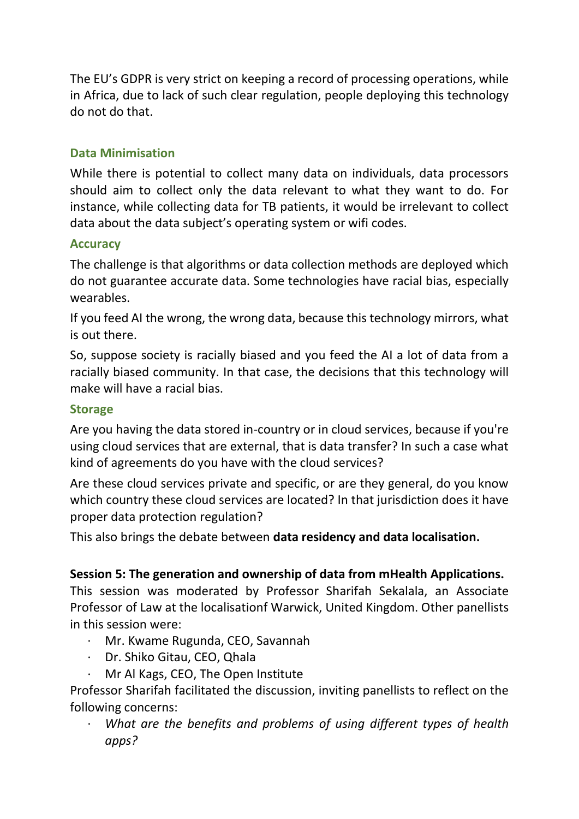The EU's GDPR is very strict on keeping a record of processing operations, while in Africa, due to lack of such clear regulation, people deploying this technology do not do that.

### **Data Minimisation**

While there is potential to collect many data on individuals, data processors should aim to collect only the data relevant to what they want to do. For instance, while collecting data for TB patients, it would be irrelevant to collect data about the data subject's operating system or wifi codes.

### **Accuracy**

The challenge is that algorithms or data collection methods are deployed which do not guarantee accurate data. Some technologies have racial bias, especially wearables.

If you feed AI the wrong, the wrong data, because this technology mirrors, what is out there.

So, suppose society is racially biased and you feed the AI a lot of data from a racially biased community. In that case, the decisions that this technology will make will have a racial bias.

#### **Storage**

Are you having the data stored in-country or in cloud services, because if you're using cloud services that are external, that is data transfer? In such a case what kind of agreements do you have with the cloud services?

Are these cloud services private and specific, or are they general, do you know which country these cloud services are located? In that jurisdiction does it have proper data protection regulation?

This also brings the debate between **data residency and data localisation.**

### **Session 5: The generation and ownership of data from mHealth Applications.**

This session was moderated by Professor Sharifah Sekalala, an Associate Professor of Law at the localisationf Warwick, United Kingdom. Other panellists in this session were:

- · Mr. Kwame Rugunda, CEO, Savannah
- · Dr. Shiko Gitau, CEO, Qhala
- · Mr Al Kags, CEO, The Open Institute

Professor Sharifah facilitated the discussion, inviting panellists to reflect on the following concerns:

What are the benefits and problems of using different types of health *apps?*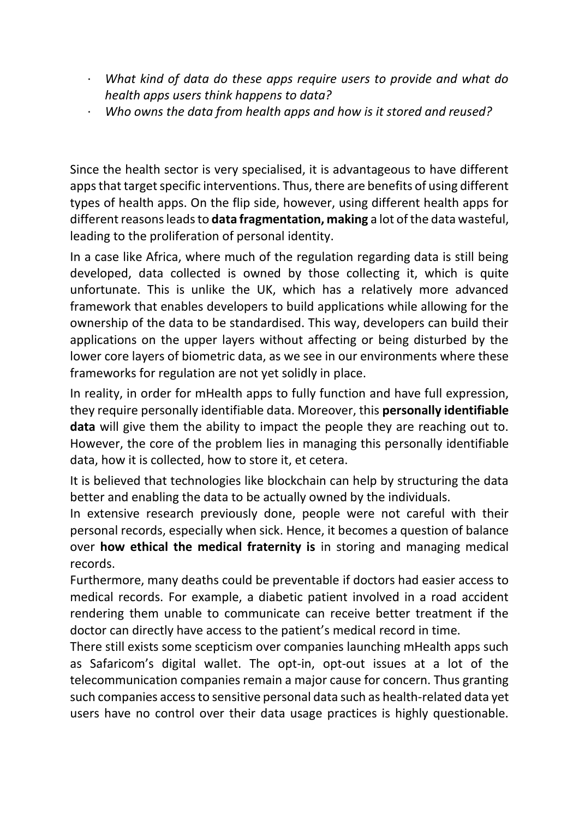- · *What kind of data do these apps require users to provide and what do health apps users think happens to data?*
- · *Who owns the data from health apps and how is it stored and reused?*

Since the health sector is very specialised, it is advantageous to have different apps that target specific interventions. Thus, there are benefits of using different types of health apps. On the flip side, however, using different health apps for different reasons leads to **data fragmentation, making** a lot of the data wasteful, leading to the proliferation of personal identity.

In a case like Africa, where much of the regulation regarding data is still being developed, data collected is owned by those collecting it, which is quite unfortunate. This is unlike the UK, which has a relatively more advanced framework that enables developers to build applications while allowing for the ownership of the data to be standardised. This way, developers can build their applications on the upper layers without affecting or being disturbed by the lower core layers of biometric data, as we see in our environments where these frameworks for regulation are not yet solidly in place.

In reality, in order for mHealth apps to fully function and have full expression, they require personally identifiable data. Moreover, this **personally identifiable data** will give them the ability to impact the people they are reaching out to. However, the core of the problem lies in managing this personally identifiable data, how it is collected, how to store it, et cetera.

It is believed that technologies like blockchain can help by structuring the data better and enabling the data to be actually owned by the individuals.

In extensive research previously done, people were not careful with their personal records, especially when sick. Hence, it becomes a question of balance over **how ethical the medical fraternity is** in storing and managing medical records.

Furthermore, many deaths could be preventable if doctors had easier access to medical records. For example, a diabetic patient involved in a road accident rendering them unable to communicate can receive better treatment if the doctor can directly have access to the patient's medical record in time.

There still exists some scepticism over companies launching mHealth apps such as Safaricom's digital wallet. The opt-in, opt-out issues at a lot of the telecommunication companies remain a major cause for concern. Thus granting such companies access to sensitive personal data such as health-related data yet users have no control over their data usage practices is highly questionable.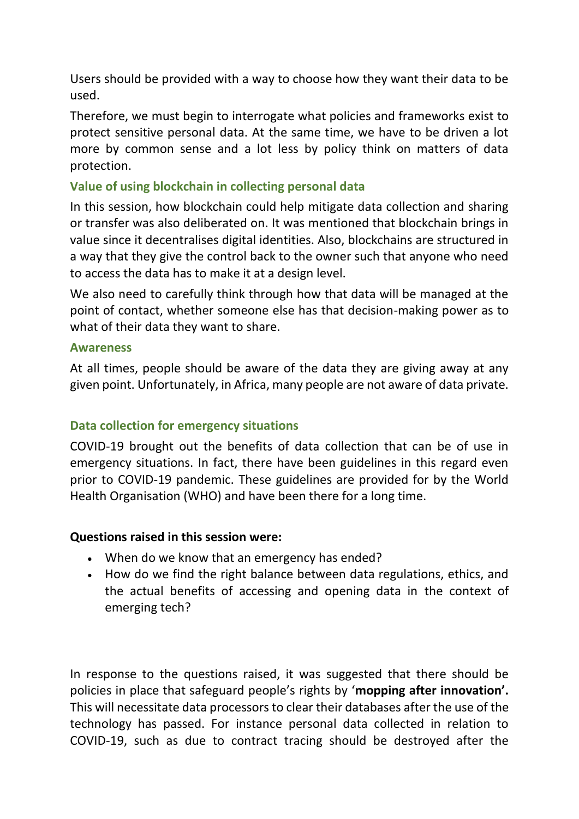Users should be provided with a way to choose how they want their data to be used.

Therefore, we must begin to interrogate what policies and frameworks exist to protect sensitive personal data. At the same time, we have to be driven a lot more by common sense and a lot less by policy think on matters of data protection.

### **Value of using blockchain in collecting personal data**

In this session, how blockchain could help mitigate data collection and sharing or transfer was also deliberated on. It was mentioned that blockchain brings in value since it decentralises digital identities. Also, blockchains are structured in a way that they give the control back to the owner such that anyone who need to access the data has to make it at a design level.

We also need to carefully think through how that data will be managed at the point of contact, whether someone else has that decision-making power as to what of their data they want to share.

#### **Awareness**

At all times, people should be aware of the data they are giving away at any given point. Unfortunately, in Africa, many people are not aware of data private.

### **Data collection for emergency situations**

COVID-19 brought out the benefits of data collection that can be of use in emergency situations. In fact, there have been guidelines in this regard even prior to COVID-19 pandemic. These guidelines are provided for by the World Health Organisation (WHO) and have been there for a long time.

### **Questions raised in this session were:**

- When do we know that an emergency has ended?
- How do we find the right balance between data regulations, ethics, and the actual benefits of accessing and opening data in the context of emerging tech?

In response to the questions raised, it was suggested that there should be policies in place that safeguard people's rights by '**mopping after innovation'.**  This will necessitate data processors to clear their databases after the use of the technology has passed. For instance personal data collected in relation to COVID-19, such as due to contract tracing should be destroyed after the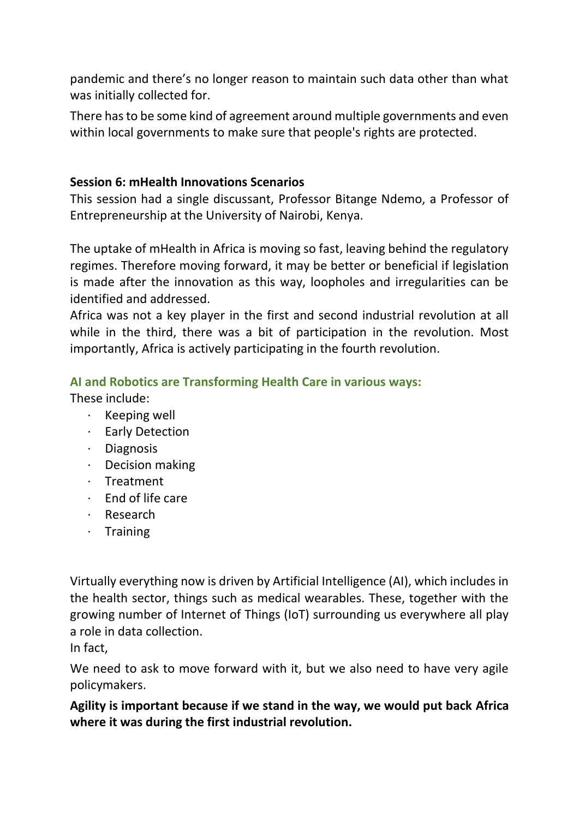pandemic and there's no longer reason to maintain such data other than what was initially collected for.

There has to be some kind of agreement around multiple governments and even within local governments to make sure that people's rights are protected.

#### **Session 6: mHealth Innovations Scenarios**

This session had a single discussant, Professor Bitange Ndemo, a Professor of Entrepreneurship at the University of Nairobi, Kenya.

The uptake of mHealth in Africa is moving so fast, leaving behind the regulatory regimes. Therefore moving forward, it may be better or beneficial if legislation is made after the innovation as this way, loopholes and irregularities can be identified and addressed.

Africa was not a key player in the first and second industrial revolution at all while in the third, there was a bit of participation in the revolution. Most importantly, Africa is actively participating in the fourth revolution.

### **AI and Robotics are Transforming Health Care in various ways:**

These include:

- · Keeping well
- · Early Detection
- · Diagnosis
- · Decision making
- · Treatment
- · End of life care
- · Research
- · Training

Virtually everything now is driven by Artificial Intelligence (AI), which includes in the health sector, things such as medical wearables. These, together with the growing number of Internet of Things (IoT) surrounding us everywhere all play a role in data collection.

In fact,

We need to ask to move forward with it, but we also need to have very agile policymakers.

**Agility is important because if we stand in the way, we would put back Africa where it was during the first industrial revolution.**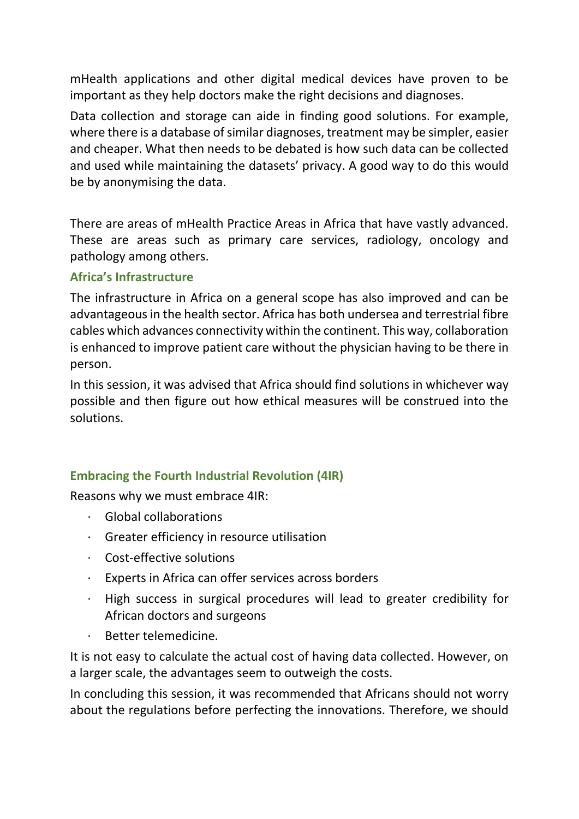mHealth applications and other digital medical devices have proven to be important as they help doctors make the right decisions and diagnoses.

Data collection and storage can aide in finding good solutions. For example, where there is a database of similar diagnoses, treatment may be simpler, easier and cheaper. What then needs to be debated is how such data can be collected and used while maintaining the datasets' privacy. A good way to do this would be by anonymising the data.

There are areas of mHealth Practice Areas in Africa that have vastly advanced. These are areas such as primary care services, radiology, oncology and pathology among others.

### **Africa's Infrastructure**

The infrastructure in Africa on a general scope has also improved and can be advantageous in the health sector. Africa has both undersea and terrestrial fibre cables which advances connectivity within the continent. This way, collaboration is enhanced to improve patient care without the physician having to be there in person.

In this session, it was advised that Africa should find solutions in whichever way possible and then figure out how ethical measures will be construed into the solutions.

# **Embracing the Fourth Industrial Revolution (4IR)**

Reasons why we must embrace 4IR:

- · Global collaborations
- · Greater efficiency in resource utilisation
- · Cost-effective solutions
- · Experts in Africa can offer services across borders
- · High success in surgical procedures will lead to greater credibility for African doctors and surgeons
- · Better telemedicine.

It is not easy to calculate the actual cost of having data collected. However, on a larger scale, the advantages seem to outweigh the costs.

In concluding this session, it was recommended that Africans should not worry about the regulations before perfecting the innovations. Therefore, we should